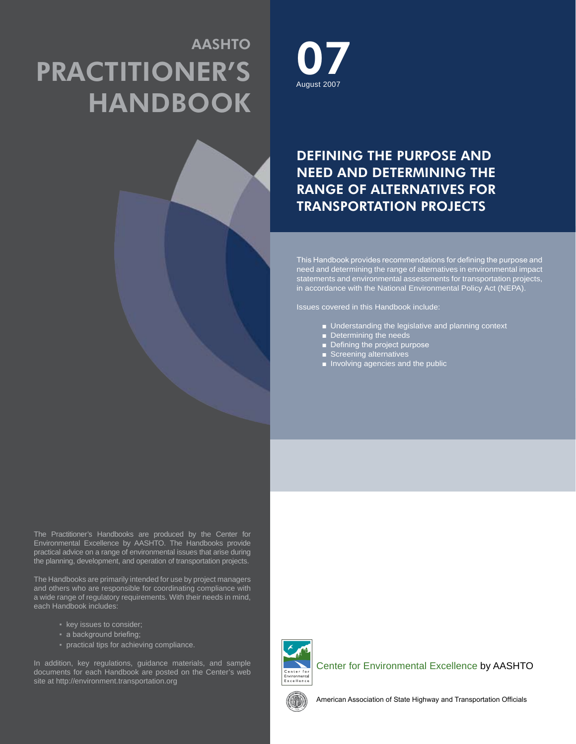# AASHTO Practitioner's **HANDBOOK**





# Defining the Purpose and Need and Determining the Range of Alternatives for Transportation Projects

This Handbook provides recommendations for defining the purpose and need and determining the range of alternatives in environmental impact statements and environmental assessments for transportation projects, in accordance with the National Environmental Policy Act (NEPA).

Issues covered in this Handbook include:

- Understanding the legislative and planning context
- Determining the needs
- Defining the project purpose
- Screening alternatives
- Involving agencies and the public

The Practitioner's Handbooks are produced by the Center for Environmental Excellence by AASHTO. The Handbooks provide practical advice on a range of environmental issues that arise during the planning, development, and operation of transportation projects.

The Handbooks are primarily intended for use by project managers and others who are responsible for coordinating compliance with a wide range of regulatory requirements. With their needs in mind, each Handbook includes:

- key issues to consider;
- a background briefing;
- practical tips for achieving compliance.

In addition, key regulations, guidance materials, and sample documents for each Handbook are posted on the Center's web site at http://environment.transportation.org



Center for Environmental Excellence by AASHTO



American Association of State Highway and Transportation Officials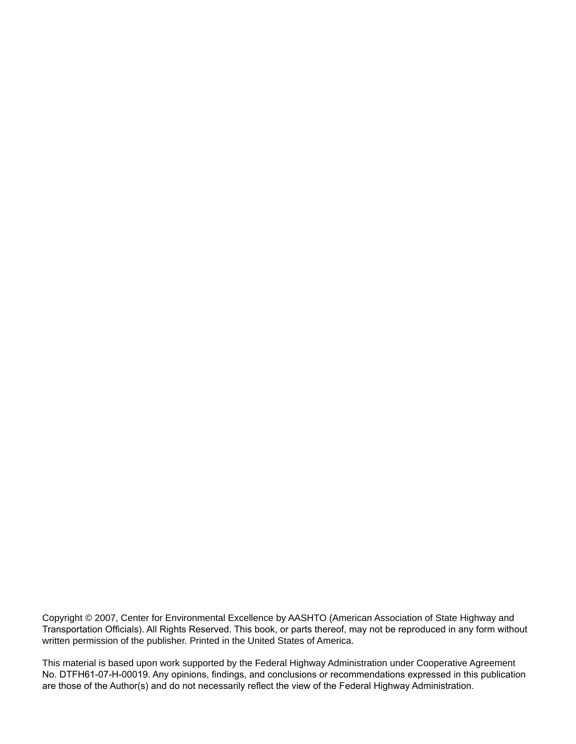Copyright © 2007, Center for Environmental Excellence by AASHTO (American Association of State Highway and Transportation Officials). All Rights Reserved. This book, or parts thereof, may not be reproduced in any form without written permission of the publisher. Printed in the United States of America.

This material is based upon work supported by the Federal Highway Administration under Cooperative Agreement No. DTFH61-07-H-00019. Any opinions, findings, and conclusions or recommendations expressed in this publication are those of the Author(s) and do not necessarily reflect the view of the Federal Highway Administration.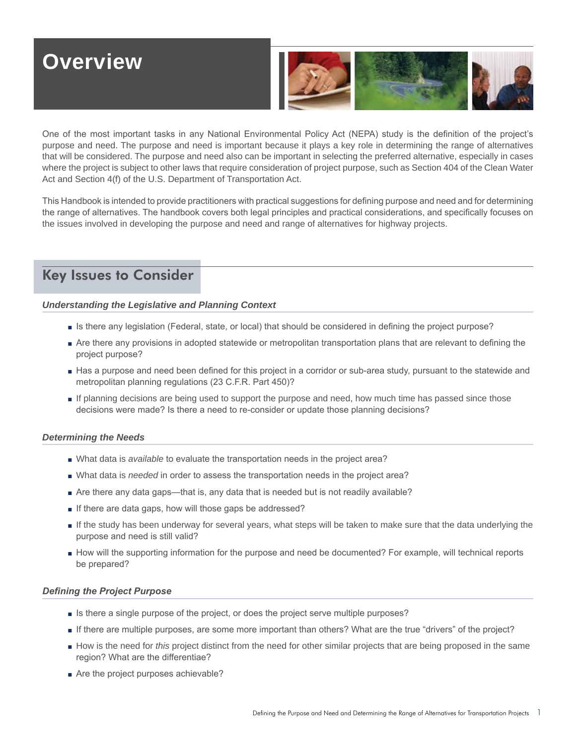# **Overview**



One of the most important tasks in any National Environmental Policy Act (NEPA) study is the definition of the project's purpose and need. The purpose and need is important because it plays a key role in determining the range of alternatives that will be considered. The purpose and need also can be important in selecting the preferred alternative, especially in cases where the project is subject to other laws that require consideration of project purpose, such as Section 404 of the Clean Water Act and Section 4(f) of the U.S. Department of Transportation Act.

This Handbook is intended to provide practitioners with practical suggestions for defining purpose and need and for determining the range of alternatives. The handbook covers both legal principles and practical considerations, and specifically focuses on the issues involved in developing the purpose and need and range of alternatives for highway projects.

# Key Issues to Consider

## *Understanding the Legislative and Planning Context*

- Is there any legislation (Federal, state, or local) that should be considered in defining the project purpose?
- Are there any provisions in adopted statewide or metropolitan transportation plans that are relevant to defining the project purpose?
- Has a purpose and need been defined for this project in a corridor or sub-area study, pursuant to the statewide and metropolitan planning regulations (23 C.F.R. Part 450)?
- If planning decisions are being used to support the purpose and need, how much time has passed since those decisions were made? Is there a need to re-consider or update those planning decisions?

#### *Determining the Needs*

- What data is *available* to evaluate the transportation needs in the project area?
- What data is *needed* in order to assess the transportation needs in the project area?
- Are there any data gaps—that is, any data that is needed but is not readily available? ■
- If there are data gaps, how will those gaps be addressed?
- If the study has been underway for several years, what steps will be taken to make sure that the data underlying the purpose and need is still valid?
- How will the supporting information for the purpose and need be documented? For example, will technical reports be prepared?

#### *Defining the Project Purpose*

- Is there a single purpose of the project, or does the project serve multiple purposes?
- If there are multiple purposes, are some more important than others? What are the true "drivers" of the project?
- How is the need for *this* project distinct from the need for other similar projects that are being proposed in the same region? What are the differentiae?
- Are the project purposes achievable?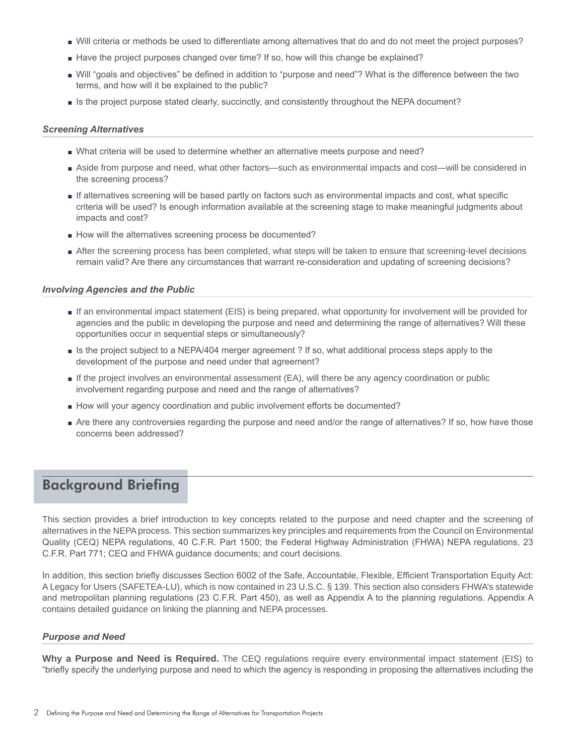- Will criteria or methods be used to differentiate among alternatives that do and do not meet the project purposes? ■
- Have the project purposes changed over time? If so, how will this change be explained?
- Will "goals and objectives" be defined in addition to "purpose and need"? What is the difference between the two terms, and how will it be explained to the public?
- Is the project purpose stated clearly, succinctly, and consistently throughout the NEPA document?

#### *Screening Alternatives*

- What criteria will be used to determine whether an alternative meets purpose and need?
- Aside from purpose and need, what other factors—such as environmental impacts and cost—will be considered in the screening process?
- If alternatives screening will be based partly on factors such as environmental impacts and cost, what specific criteria will be used? Is enough information available at the screening stage to make meaningful judgments about impacts and cost?
- How will the alternatives screening process be documented?
- After the screening process has been completed, what steps will be taken to ensure that screening-level decisions remain valid? Are there any circumstances that warrant re-consideration and updating of screening decisions?

#### *Involving Agencies and the Public*

- If an environmental impact statement (EIS) is being prepared, what opportunity for involvement will be provided for agencies and the public in developing the purpose and need and determining the range of alternatives? Will these opportunities occur in sequential steps or simultaneously?
- Is the project subject to a NEPA/404 merger agreement ? If so, what additional process steps apply to the development of the purpose and need under that agreement?
- If the project involves an environmental assessment (EA), will there be any agency coordination or public involvement regarding purpose and need and the range of alternatives?
- How will your agency coordination and public involvement efforts be documented?
- Are there any controversies regarding the purpose and need and/or the range of alternatives? If so, how have those concerns been addressed?

# Background Briefing

This section provides a brief introduction to key concepts related to the purpose and need chapter and the screening of alternatives in the NEPA process. This section summarizes key principles and requirements from the Council on Environmental Quality (CEQ) NEPA regulations, 40 C.F.R. Part 1500; the Federal Highway Administration (FHWA) NEPA regulations, 23 C.F.R. Part 771; CEQ and FHWA guidance documents; and court decisions.

In addition, this section briefly discusses Section 6002 of the Safe, Accountable, Flexible, Efficient Transportation Equity Act: A Legacy for Users (SAFETEA-LU), which is now contained in 23 U.S.C. § 139. This section also considers FHWA's statewide and metropolitan planning regulations (23 C.F.R. Part 450), as well as Appendix A to the planning regulations. Appendix A contains detailed guidance on linking the planning and NEPA processes.

#### *Purpose and Need*

**Why a Purpose and Need is Required.** The CEQ regulations require every environmental impact statement (EIS) to "briefly specify the underlying purpose and need to which the agency is responding in proposing the alternatives including the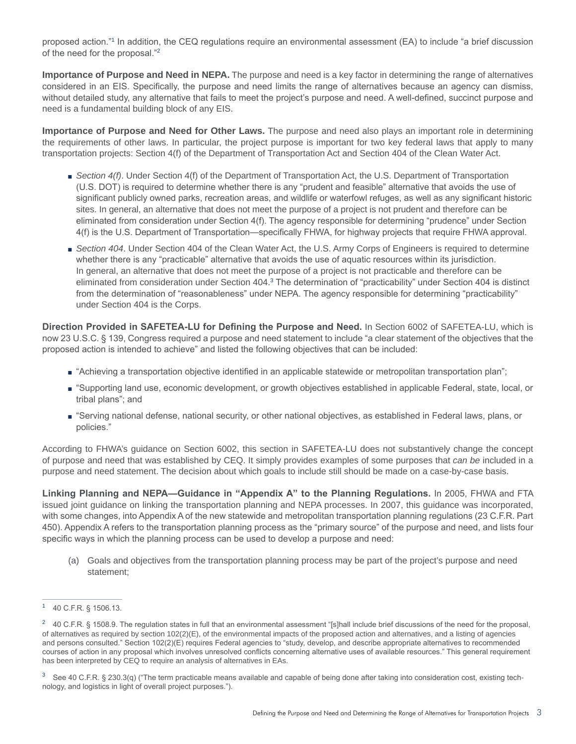proposed action."<sup>1</sup> In addition, the CEQ regulations require an environmental assessment (EA) to include "a brief discussion of the need for the proposal."<sup>2</sup>

**Importance of Purpose and Need in NEPA.** The purpose and need is a key factor in determining the range of alternatives considered in an EIS. Specifically, the purpose and need limits the range of alternatives because an agency can dismiss, without detailed study, any alternative that fails to meet the project's purpose and need. A well-defined, succinct purpose and need is a fundamental building block of any EIS.

**Importance of Purpose and Need for Other Laws.** The purpose and need also plays an important role in determining the requirements of other laws. In particular, the project purpose is important for two key federal laws that apply to many transportation projects: Section 4(f) of the Department of Transportation Act and Section 404 of the Clean Water Act.

- Section 4(f). Under Section 4(f) of the Department of Transportation Act, the U.S. Department of Transportation (U.S. DOT) is required to determine whether there is any "prudent and feasible" alternative that avoids the use of significant publicly owned parks, recreation areas, and wildlife or waterfowl refuges, as well as any significant historic sites. In general, an alternative that does not meet the purpose of a project is not prudent and therefore can be eliminated from consideration under Section 4(f). The agency responsible for determining "prudence" under Section 4(f) is the U.S. Department of Transportation—specifically FHWA, for highway projects that require FHWA approval.
- Section 404. Under Section 404 of the Clean Water Act, the U.S. Army Corps of Engineers is required to determine whether there is any "practicable" alternative that avoids the use of aquatic resources within its jurisdiction. In general, an alternative that does not meet the purpose of a project is not practicable and therefore can be eliminated from consideration under Section 404.<sup>3</sup> The determination of "practicability" under Section 404 is distinct from the determination of "reasonableness" under NEPA. The agency responsible for determining "practicability" under Section 404 is the Corps.

**Direction Provided in SAFETEA-LU for Defining the Purpose and Need.** In Section 6002 of SAFETEA-LU, which is now 23 U.S.C. § 139, Congress required a purpose and need statement to include "a clear statement of the objectives that the proposed action is intended to achieve" and listed the following objectives that can be included:

- "Achieving a transportation objective identified in an applicable statewide or metropolitan transportation plan";
- "Supporting land use, economic development, or growth objectives established in applicable Federal, state, local, or tribal plans"; and
- "Serving national defense, national security, or other national objectives, as established in Federal laws, plans, or policies."

According to FHWA's guidance on Section 6002, this section in SAFETEA-LU does not substantively change the concept of purpose and need that was established by CEQ. It simply provides examples of some purposes that *can be* included in a purpose and need statement. The decision about which goals to include still should be made on a case-by-case basis.

**Linking Planning and NEPA—Guidance in "Appendix A" to the Planning Regulations.** In 2005, FHWA and FTA issued joint guidance on linking the transportation planning and NEPA processes. In 2007, this guidance was incorporated, with some changes, into Appendix A of the new statewide and metropolitan transportation planning regulations (23 C.F.R. Part 450). Appendix A refers to the transportation planning process as the "primary source" of the purpose and need, and lists four specific ways in which the planning process can be used to develop a purpose and need:

(a) Goals and objectives from the transportation planning process may be part of the project's purpose and need statement;

<sup>1</sup> 40 C.F.R. § 1506.13.

<sup>&</sup>lt;sup>2</sup> 40 C.F.R. § 1508.9. The regulation states in full that an environmental assessment "[s]hall include brief discussions of the need for the proposal, of alternatives as required by section 102(2)(E), of the environmental impacts of the proposed action and alternatives, and a listing of agencies and persons consulted." Section 102(2)(E) requires Federal agencies to "study, develop, and describe appropriate alternatives to recommended courses of action in any proposal which involves unresolved conflicts concerning alternative uses of available resources." This general requirement has been interpreted by CEQ to require an analysis of alternatives in EAs.

 $3$  See 40 C.F.R. § 230.3(q) ("The term practicable means available and capable of being done after taking into consideration cost, existing technology, and logistics in light of overall project purposes.").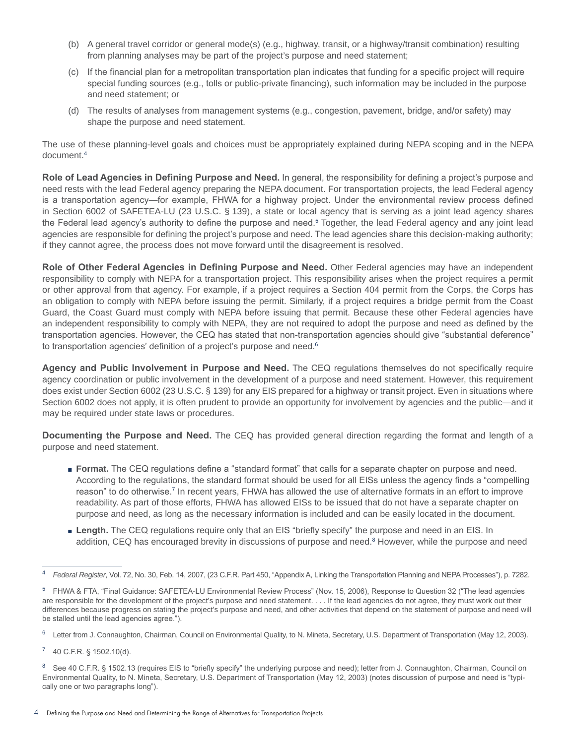- (b) A general travel corridor or general mode(s) (e.g., highway, transit, or a highway/transit combination) resulting from planning analyses may be part of the project's purpose and need statement;
- (c) If the financial plan for a metropolitan transportation plan indicates that funding for a specific project will require special funding sources (e.g., tolls or public-private financing), such information may be included in the purpose and need statement; or
- (d) The results of analyses from management systems (e.g., congestion, pavement, bridge, and/or safety) may shape the purpose and need statement.

The use of these planning-level goals and choices must be appropriately explained during NEPA scoping and in the NEPA document.4

**Role of Lead Agencies in Defining Purpose and Need.** In general, the responsibility for defining a project's purpose and need rests with the lead Federal agency preparing the NEPA document. For transportation projects, the lead Federal agency is a transportation agency—for example, FHWA for a highway project. Under the environmental review process defined in Section 6002 of SAFETEA-LU (23 U.S.C. § 139), a state or local agency that is serving as a joint lead agency shares the Federal lead agency's authority to define the purpose and need.<sup>5</sup> Together, the lead Federal agency and any joint lead agencies are responsible for defining the project's purpose and need. The lead agencies share this decision-making authority; if they cannot agree, the process does not move forward until the disagreement is resolved.

**Role of Other Federal Agencies in Defining Purpose and Need.** Other Federal agencies may have an independent responsibility to comply with NEPA for a transportation project. This responsibility arises when the project requires a permit or other approval from that agency. For example, if a project requires a Section 404 permit from the Corps, the Corps has an obligation to comply with NEPA before issuing the permit. Similarly, if a project requires a bridge permit from the Coast Guard, the Coast Guard must comply with NEPA before issuing that permit. Because these other Federal agencies have an independent responsibility to comply with NEPA, they are not required to adopt the purpose and need as defined by the transportation agencies. However, the CEQ has stated that non-transportation agencies should give "substantial deference" to transportation agencies' definition of a project's purpose and need.<sup>6</sup>

**Agency and Public Involvement in Purpose and Need.** The CEQ regulations themselves do not specifically require agency coordination or public involvement in the development of a purpose and need statement. However, this requirement does exist under Section 6002 (23 U.S.C. § 139) for any EIS prepared for a highway or transit project. Even in situations where Section 6002 does not apply, it is often prudent to provide an opportunity for involvement by agencies and the public—and it may be required under state laws or procedures.

**Documenting the Purpose and Need.** The CEQ has provided general direction regarding the format and length of a purpose and need statement.

- Format. The CEQ regulations define a "standard format" that calls for a separate chapter on purpose and need. According to the regulations, the standard format should be used for all EISs unless the agency finds a "compelling reason" to do otherwise.<sup>7</sup> In recent years, FHWA has allowed the use of alternative formats in an effort to improve readability. As part of those efforts, FHWA has allowed EISs to be issued that do not have a separate chapter on purpose and need, as long as the necessary information is included and can be easily located in the document.
- Length. The CEQ regulations require only that an EIS "briefly specify" the purpose and need in an EIS. In addition, CEQ has encouraged brevity in discussions of purpose and need.<sup>8</sup> However, while the purpose and need

<sup>4</sup> *Federal Register*, Vol. 72, No. 30, Feb. 14, 2007, (23 C.F.R. Part 450, "Appendix A, Linking the Transportation Planning and NEPA Processes"), p. 7282.

<sup>&</sup>lt;sup>5</sup> FHWA & FTA, "Final Guidance: SAFETEA-LU Environmental Review Process" (Nov. 15, 2006), Response to Question 32 ("The lead agencies are responsible for the development of the project's purpose and need statement. . . . If the lead agencies do not agree, they must work out their differences because progress on stating the project's purpose and need, and other activities that depend on the statement of purpose and need will be stalled until the lead agencies agree.").

<sup>&</sup>lt;sup>6</sup> Letter from J. Connaughton, Chairman, Council on Environmental Quality, to N. Mineta, Secretary, U.S. Department of Transportation (May 12, 2003).

 $7$  40 C.F.R. § 1502.10(d).

<sup>&</sup>lt;sup>8</sup> See 40 C.F.R. § 1502.13 (requires EIS to "briefly specify" the underlying purpose and need); letter from J. Connaughton, Chairman, Council on Environmental Quality, to N. Mineta, Secretary, U.S. Department of Transportation (May 12, 2003) (notes discussion of purpose and need is "typically one or two paragraphs long").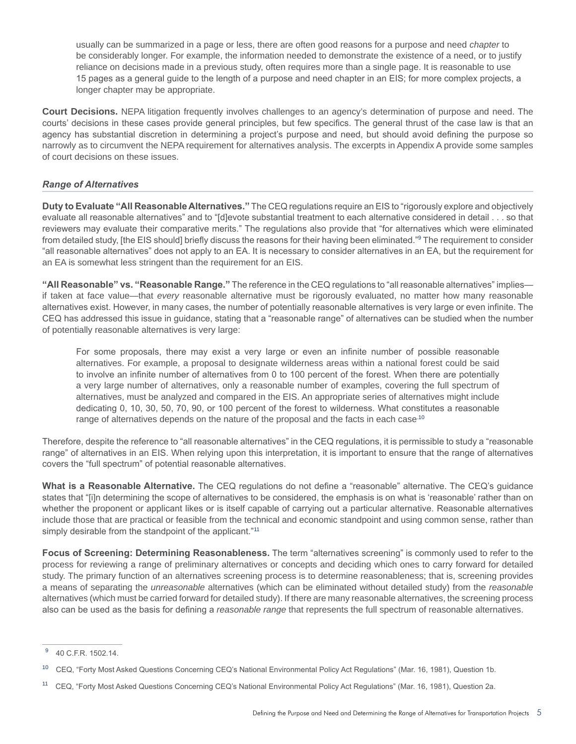usually can be summarized in a page or less, there are often good reasons for a purpose and need *chapter* to be considerably longer. For example, the information needed to demonstrate the existence of a need, or to justify reliance on decisions made in a previous study, often requires more than a single page. It is reasonable to use 15 pages as a general guide to the length of a purpose and need chapter in an EIS; for more complex projects, a longer chapter may be appropriate.

**Court Decisions.** NEPA litigation frequently involves challenges to an agency's determination of purpose and need. The courts' decisions in these cases provide general principles, but few specifics. The general thrust of the case law is that an agency has substantial discretion in determining a project's purpose and need, but should avoid defining the purpose so narrowly as to circumvent the NEPA requirement for alternatives analysis. The excerpts in Appendix A provide some samples of court decisions on these issues.

# *Range of Alternatives*

**Duty to Evaluate "All Reasonable Alternatives."** The CEQ regulations require an EIS to "rigorously explore and objectively evaluate all reasonable alternatives" and to "[d]evote substantial treatment to each alternative considered in detail . . . so that reviewers may evaluate their comparative merits." The regulations also provide that "for alternatives which were eliminated from detailed study, [the EIS should] briefly discuss the reasons for their having been eliminated."<sup>9</sup> The requirement to consider "all reasonable alternatives" does not apply to an EA. It is necessary to consider alternatives in an EA, but the requirement for an EA is somewhat less stringent than the requirement for an EIS.

**"All Reasonable" vs. "Reasonable Range."** The reference in the CEQ regulations to "all reasonable alternatives" implies if taken at face value—that *every* reasonable alternative must be rigorously evaluated, no matter how many reasonable alternatives exist. However, in many cases, the number of potentially reasonable alternatives is very large or even infinite. The CEQ has addressed this issue in guidance, stating that a "reasonable range" of alternatives can be studied when the number of potentially reasonable alternatives is very large:

For some proposals, there may exist a very large or even an infinite number of possible reasonable alternatives. For example, a proposal to designate wilderness areas within a national forest could be said to involve an infinite number of alternatives from 0 to 100 percent of the forest. When there are potentially a very large number of alternatives, only a reasonable number of examples, covering the full spectrum of alternatives, must be analyzed and compared in the EIS. An appropriate series of alternatives might include dedicating 0, 10, 30, 50, 70, 90, or 100 percent of the forest to wilderness. What constitutes a reasonable range of alternatives depends on the nature of the proposal and the facts in each case.<sup>10</sup>

Therefore, despite the reference to "all reasonable alternatives" in the CEQ regulations, it is permissible to study a "reasonable range" of alternatives in an EIS. When relying upon this interpretation, it is important to ensure that the range of alternatives covers the "full spectrum" of potential reasonable alternatives.

**What is a Reasonable Alternative.** The CEQ regulations do not define a "reasonable" alternative. The CEQ's guidance states that "[i]n determining the scope of alternatives to be considered, the emphasis is on what is 'reasonable' rather than on whether the proponent or applicant likes or is itself capable of carrying out a particular alternative. Reasonable alternatives include those that are practical or feasible from the technical and economic standpoint and using common sense, rather than simply desirable from the standpoint of the applicant."<sup>11</sup>

**Focus of Screening: Determining Reasonableness.** The term "alternatives screening" is commonly used to refer to the process for reviewing a range of preliminary alternatives or concepts and deciding which ones to carry forward for detailed study. The primary function of an alternatives screening process is to determine reasonableness; that is, screening provides a means of separating the *unreasonable* alternatives (which can be eliminated without detailed study) from the *reasonable* alternatives (which must be carried forward for detailed study). If there are many reasonable alternatives, the screening process also can be used as the basis for defining a *reasonable range* that represents the full spectrum of reasonable alternatives.

<sup>9</sup> 40 C.F.R. 1502.14.

<sup>10</sup> CEQ, "Forty Most Asked Questions Concerning CEQ's National Environmental Policy Act Regulations" (Mar. 16, 1981), Question 1b.

<sup>11</sup> CEQ, "Forty Most Asked Questions Concerning CEQ's National Environmental Policy Act Regulations" (Mar. 16, 1981), Question 2a.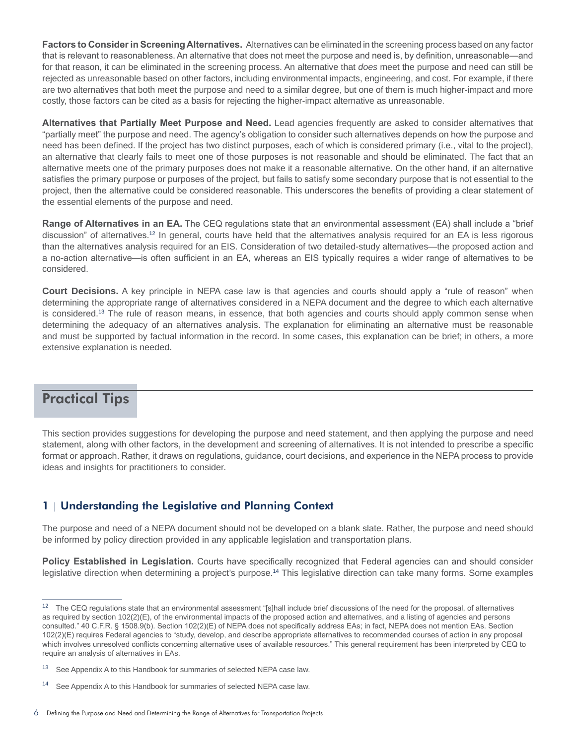**Factors to Consider in Screening Alternatives.** Alternatives can be eliminated in the screening process based on any factor that is relevant to reasonableness. An alternative that does not meet the purpose and need is, by definition, unreasonable—and for that reason, it can be eliminated in the screening process. An alternative that *does* meet the purpose and need can still be rejected as unreasonable based on other factors, including environmental impacts, engineering, and cost. For example, if there are two alternatives that both meet the purpose and need to a similar degree, but one of them is much higher-impact and more costly, those factors can be cited as a basis for rejecting the higher-impact alternative as unreasonable.

**Alternatives that Partially Meet Purpose and Need.** Lead agencies frequently are asked to consider alternatives that "partially meet" the purpose and need. The agency's obligation to consider such alternatives depends on how the purpose and need has been defined. If the project has two distinct purposes, each of which is considered primary (i.e., vital to the project), an alternative that clearly fails to meet one of those purposes is not reasonable and should be eliminated. The fact that an alternative meets one of the primary purposes does not make it a reasonable alternative. On the other hand, if an alternative satisfies the primary purpose or purposes of the project, but fails to satisfy some secondary purpose that is not essential to the project, then the alternative could be considered reasonable. This underscores the benefits of providing a clear statement of the essential elements of the purpose and need.

**Range of Alternatives in an EA.** The CEQ regulations state that an environmental assessment (EA) shall include a "brief discussion" of alternatives.12 In general, courts have held that the alternatives analysis required for an EA is less rigorous than the alternatives analysis required for an EIS. Consideration of two detailed-study alternatives—the proposed action and a no-action alternative—is often sufficient in an EA, whereas an EIS typically requires a wider range of alternatives to be considered.

**Court Decisions.** A key principle in NEPA case law is that agencies and courts should apply a "rule of reason" when determining the appropriate range of alternatives considered in a NEPA document and the degree to which each alternative is considered.<sup>13</sup> The rule of reason means, in essence, that both agencies and courts should apply common sense when determining the adequacy of an alternatives analysis. The explanation for eliminating an alternative must be reasonable and must be supported by factual information in the record. In some cases, this explanation can be brief; in others, a more extensive explanation is needed.

# Practical Tips

This section provides suggestions for developing the purpose and need statement, and then applying the purpose and need statement, along with other factors, in the development and screening of alternatives. It is not intended to prescribe a specific format or approach. Rather, it draws on regulations, guidance, court decisions, and experience in the NEPA process to provide ideas and insights for practitioners to consider.

# 1 | Understanding the Legislative and Planning Context

The purpose and need of a NEPA document should not be developed on a blank slate. Rather, the purpose and need should be informed by policy direction provided in any applicable legislation and transportation plans.

**Policy Established in Legislation.** Courts have specifically recognized that Federal agencies can and should consider legislative direction when determining a project's purpose.14 This legislative direction can take many forms. Some examples

<sup>&</sup>lt;sup>12</sup> The CEQ regulations state that an environmental assessment "[s]hall include brief discussions of the need for the proposal, of alternatives as required by section 102(2)(E), of the environmental impacts of the proposed action and alternatives, and a listing of agencies and persons consulted." 40 C.F.R. § 1508.9(b). Section 102(2)(E) of NEPA does not specifically address EAs; in fact, NEPA does not mention EAs. Section 102(2)(E) requires Federal agencies to "study, develop, and describe appropriate alternatives to recommended courses of action in any proposal which involves unresolved conflicts concerning alternative uses of available resources." This general requirement has been interpreted by CEQ to require an analysis of alternatives in EAs.

<sup>&</sup>lt;sup>13</sup> See Appendix A to this Handbook for summaries of selected NEPA case law.

<sup>&</sup>lt;sup>14</sup> See Appendix A to this Handbook for summaries of selected NEPA case law.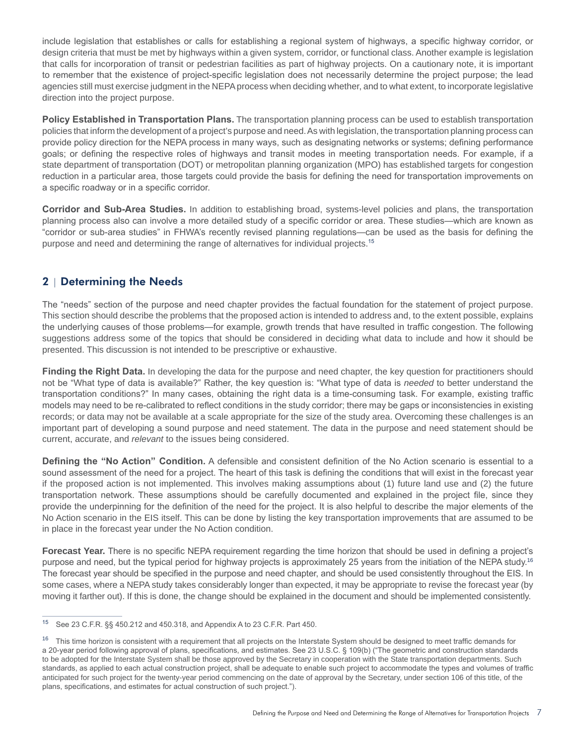include legislation that establishes or calls for establishing a regional system of highways, a specific highway corridor, or design criteria that must be met by highways within a given system, corridor, or functional class. Another example is legislation that calls for incorporation of transit or pedestrian facilities as part of highway projects. On a cautionary note, it is important to remember that the existence of project-specific legislation does not necessarily determine the project purpose; the lead agencies still must exercise judgment in the NEPA process when deciding whether, and to what extent, to incorporate legislative direction into the project purpose.

**Policy Established in Transportation Plans.** The transportation planning process can be used to establish transportation policies that inform the development of a project's purpose and need. As with legislation, the transportation planning process can provide policy direction for the NEPA process in many ways, such as designating networks or systems; defining performance goals; or defining the respective roles of highways and transit modes in meeting transportation needs. For example, if a state department of transportation (DOT) or metropolitan planning organization (MPO) has established targets for congestion reduction in a particular area, those targets could provide the basis for defining the need for transportation improvements on a specific roadway or in a specific corridor.

**Corridor and Sub-Area Studies.** In addition to establishing broad, systems-level policies and plans, the transportation planning process also can involve a more detailed study of a specific corridor or area. These studies—which are known as "corridor or sub-area studies" in FHWA's recently revised planning regulations—can be used as the basis for defining the purpose and need and determining the range of alternatives for individual projects.<sup>15</sup>

# 2 | Determining the Needs

The "needs" section of the purpose and need chapter provides the factual foundation for the statement of project purpose. This section should describe the problems that the proposed action is intended to address and, to the extent possible, explains the underlying causes of those problems—for example, growth trends that have resulted in traffic congestion. The following suggestions address some of the topics that should be considered in deciding what data to include and how it should be presented. This discussion is not intended to be prescriptive or exhaustive.

**Finding the Right Data.** In developing the data for the purpose and need chapter, the key question for practitioners should not be "What type of data is available?" Rather, the key question is: "What type of data is *needed* to better understand the transportation conditions?" In many cases, obtaining the right data is a time-consuming task. For example, existing traffic models may need to be re-calibrated to reflect conditions in the study corridor; there may be gaps or inconsistencies in existing records; or data may not be available at a scale appropriate for the size of the study area. Overcoming these challenges is an important part of developing a sound purpose and need statement. The data in the purpose and need statement should be current, accurate, and *relevant* to the issues being considered.

**Defining the "No Action" Condition.** A defensible and consistent definition of the No Action scenario is essential to a sound assessment of the need for a project. The heart of this task is defining the conditions that will exist in the forecast year if the proposed action is not implemented. This involves making assumptions about (1) future land use and (2) the future transportation network. These assumptions should be carefully documented and explained in the project file, since they provide the underpinning for the definition of the need for the project. It is also helpful to describe the major elements of the No Action scenario in the EIS itself. This can be done by listing the key transportation improvements that are assumed to be in place in the forecast year under the No Action condition.

**Forecast Year.** There is no specific NEPA requirement regarding the time horizon that should be used in defining a project's purpose and need, but the typical period for highway projects is approximately 25 years from the initiation of the NEPA study.<sup>16</sup> The forecast year should be specified in the purpose and need chapter, and should be used consistently throughout the EIS. In some cases, where a NEPA study takes considerably longer than expected, it may be appropriate to revise the forecast year (by moving it farther out). If this is done, the change should be explained in the document and should be implemented consistently.

<sup>15</sup> See 23 C.F.R. §§ 450.212 and 450.318, and Appendix A to 23 C.F.R. Part 450.

<sup>&</sup>lt;sup>16</sup> This time horizon is consistent with a requirement that all projects on the Interstate System should be designed to meet traffic demands for a 20-year period following approval of plans, specifications, and estimates. See 23 U.S.C. § 109(b) ("The geometric and construction standards to be adopted for the Interstate System shall be those approved by the Secretary in cooperation with the State transportation departments. Such standards, as applied to each actual construction project, shall be adequate to enable such project to accommodate the types and volumes of traffic anticipated for such project for the twenty-year period commencing on the date of approval by the Secretary, under section 106 of this title, of the plans, specifications, and estimates for actual construction of such project.").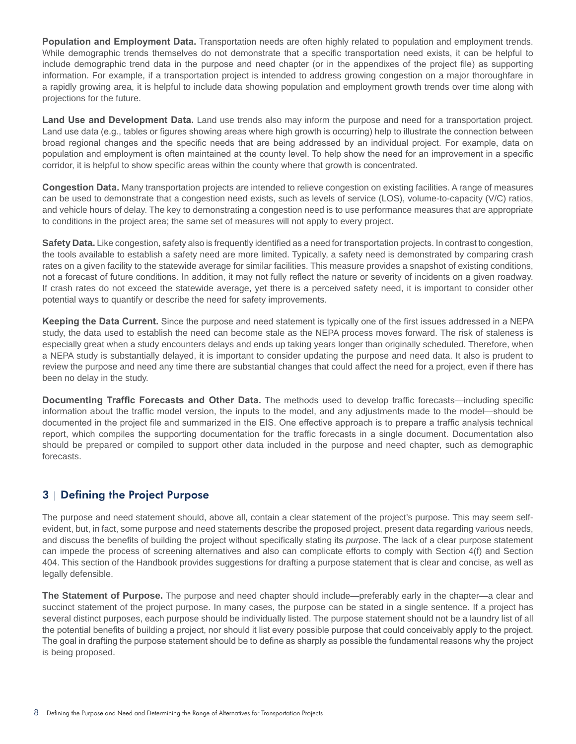**Population and Employment Data.** Transportation needs are often highly related to population and employment trends. While demographic trends themselves do not demonstrate that a specific transportation need exists, it can be helpful to include demographic trend data in the purpose and need chapter (or in the appendixes of the project file) as supporting information. For example, if a transportation project is intended to address growing congestion on a major thoroughfare in a rapidly growing area, it is helpful to include data showing population and employment growth trends over time along with projections for the future.

**Land Use and Development Data.** Land use trends also may inform the purpose and need for a transportation project. Land use data (e.g., tables or figures showing areas where high growth is occurring) help to illustrate the connection between broad regional changes and the specific needs that are being addressed by an individual project. For example, data on population and employment is often maintained at the county level. To help show the need for an improvement in a specific corridor, it is helpful to show specific areas within the county where that growth is concentrated.

**Congestion Data.** Many transportation projects are intended to relieve congestion on existing facilities. A range of measures can be used to demonstrate that a congestion need exists, such as levels of service (LOS), volume-to-capacity (V/C) ratios, and vehicle hours of delay. The key to demonstrating a congestion need is to use performance measures that are appropriate to conditions in the project area; the same set of measures will not apply to every project.

**Safety Data.** Like congestion, safety also is frequently identified as a need for transportation projects. In contrast to congestion, the tools available to establish a safety need are more limited. Typically, a safety need is demonstrated by comparing crash rates on a given facility to the statewide average for similar facilities. This measure provides a snapshot of existing conditions, not a forecast of future conditions. In addition, it may not fully reflect the nature or severity of incidents on a given roadway. If crash rates do not exceed the statewide average, yet there is a perceived safety need, it is important to consider other potential ways to quantify or describe the need for safety improvements.

**Keeping the Data Current.** Since the purpose and need statement is typically one of the first issues addressed in a NEPA study, the data used to establish the need can become stale as the NEPA process moves forward. The risk of staleness is especially great when a study encounters delays and ends up taking years longer than originally scheduled. Therefore, when a NEPA study is substantially delayed, it is important to consider updating the purpose and need data. It also is prudent to review the purpose and need any time there are substantial changes that could affect the need for a project, even if there has been no delay in the study.

**Documenting Traffic Forecasts and Other Data.** The methods used to develop traffic forecasts—including specific information about the traffic model version, the inputs to the model, and any adjustments made to the model—should be documented in the project file and summarized in the EIS. One effective approach is to prepare a traffic analysis technical report, which compiles the supporting documentation for the traffic forecasts in a single document. Documentation also should be prepared or compiled to support other data included in the purpose and need chapter, such as demographic forecasts.

# 3 | Defining the Project Purpose

The purpose and need statement should, above all, contain a clear statement of the project's purpose. This may seem selfevident, but, in fact, some purpose and need statements describe the proposed project, present data regarding various needs, and discuss the benefits of building the project without specifically stating its *purpose*. The lack of a clear purpose statement can impede the process of screening alternatives and also can complicate efforts to comply with Section 4(f) and Section 404. This section of the Handbook provides suggestions for drafting a purpose statement that is clear and concise, as well as legally defensible.

**The Statement of Purpose.** The purpose and need chapter should include—preferably early in the chapter—a clear and succinct statement of the project purpose. In many cases, the purpose can be stated in a single sentence. If a project has several distinct purposes, each purpose should be individually listed. The purpose statement should not be a laundry list of all the potential benefits of building a project, nor should it list every possible purpose that could conceivably apply to the project. The goal in drafting the purpose statement should be to define as sharply as possible the fundamental reasons why the project is being proposed.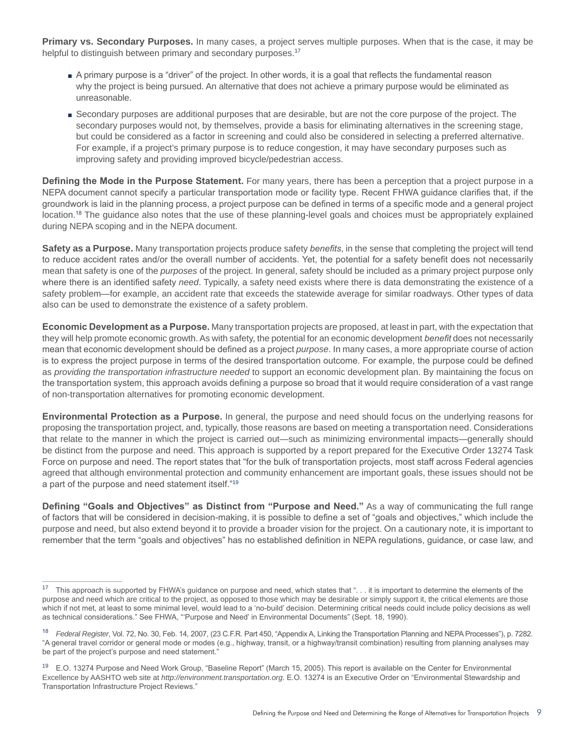**Primary vs. Secondary Purposes.** In many cases, a project serves multiple purposes. When that is the case, it may be helpful to distinguish between primary and secondary purposes.<sup>17</sup>

- A primary purpose is a "driver" of the project. In other words, it is a goal that reflects the fundamental reason why the project is being pursued. An alternative that does not achieve a primary purpose would be eliminated as unreasonable.
- Secondary purposes are additional purposes that are desirable, but are not the core purpose of the project. The secondary purposes would not, by themselves, provide a basis for eliminating alternatives in the screening stage, but could be considered as a factor in screening and could also be considered in selecting a preferred alternative. For example, if a project's primary purpose is to reduce congestion, it may have secondary purposes such as improving safety and providing improved bicycle/pedestrian access.

**Defining the Mode in the Purpose Statement.** For many years, there has been a perception that a project purpose in a NEPA document cannot specify a particular transportation mode or facility type. Recent FHWA guidance clarifies that, if the groundwork is laid in the planning process, a project purpose can be defined in terms of a specific mode and a general project location.<sup>18</sup> The guidance also notes that the use of these planning-level goals and choices must be appropriately explained during NEPA scoping and in the NEPA document.

**Safety as a Purpose.** Many transportation projects produce safety *benefits*, in the sense that completing the project will tend to reduce accident rates and/or the overall number of accidents. Yet, the potential for a safety benefit does not necessarily mean that safety is one of the *purposes* of the project. In general, safety should be included as a primary project purpose only where there is an identified safety *need*. Typically, a safety need exists where there is data demonstrating the existence of a safety problem—for example, an accident rate that exceeds the statewide average for similar roadways. Other types of data also can be used to demonstrate the existence of a safety problem.

**Economic Development as a Purpose.** Many transportation projects are proposed, at least in part, with the expectation that they will help promote economic growth. As with safety, the potential for an economic development *benefit* does not necessarily mean that economic development should be defined as a project *purpose*. In many cases, a more appropriate course of action is to express the project purpose in terms of the desired transportation outcome. For example, the purpose could be defined as *providing the transportation infrastructure needed* to support an economic development plan. By maintaining the focus on the transportation system, this approach avoids defining a purpose so broad that it would require consideration of a vast range of non-transportation alternatives for promoting economic development.

**Environmental Protection as a Purpose.** In general, the purpose and need should focus on the underlying reasons for proposing the transportation project, and, typically, those reasons are based on meeting a transportation need. Considerations that relate to the manner in which the project is carried out—such as minimizing environmental impacts—generally should be distinct from the purpose and need. This approach is supported by a report prepared for the Executive Order 13274 Task Force on purpose and need. The report states that "for the bulk of transportation projects, most staff across Federal agencies agreed that although environmental protection and community enhancement are important goals, these issues should not be a part of the purpose and need statement itself."<sup>19</sup>

**Defining "Goals and Objectives" as Distinct from "Purpose and Need."** As a way of communicating the full range of factors that will be considered in decision-making, it is possible to define a set of "goals and objectives," which include the purpose and need, but also extend beyond it to provide a broader vision for the project. On a cautionary note, it is important to remember that the term "goals and objectives" has no established definition in NEPA regulations, guidance, or case law, and

<sup>&</sup>lt;sup>17</sup> This approach is supported by FHWA's guidance on purpose and need, which states that ". . . it is important to determine the elements of the purpose and need which are critical to the project, as opposed to those which may be desirable or simply support it, the critical elements are those which if not met, at least to some minimal level, would lead to a 'no-build' decision. Determining critical needs could include policy decisions as well as technical considerations." See FHWA, "'Purpose and Need' in Environmental Documents" (Sept. 18, 1990).

<sup>18</sup> *Federal Register*, Vol. 72, No. 30, Feb. 14, 2007, (23 C.F.R. Part 450, "Appendix A, Linking the Transportation Planning and NEPA Processes"), p. 7282. "A general travel corridor or general mode or modes (e.g., highway, transit, or a highway/transit combination) resulting from planning analyses may be part of the project's purpose and need statement."

<sup>&</sup>lt;sup>19</sup> E.O. 13274 Purpose and Need Work Group, "Baseline Report" (March 15, 2005). This report is available on the Center for Environmental Excellence by AASHTO web site at *http://environment.transportation.org*. E.O. 13274 is an Executive Order on "Environmental Stewardship and Transportation Infrastructure Project Reviews."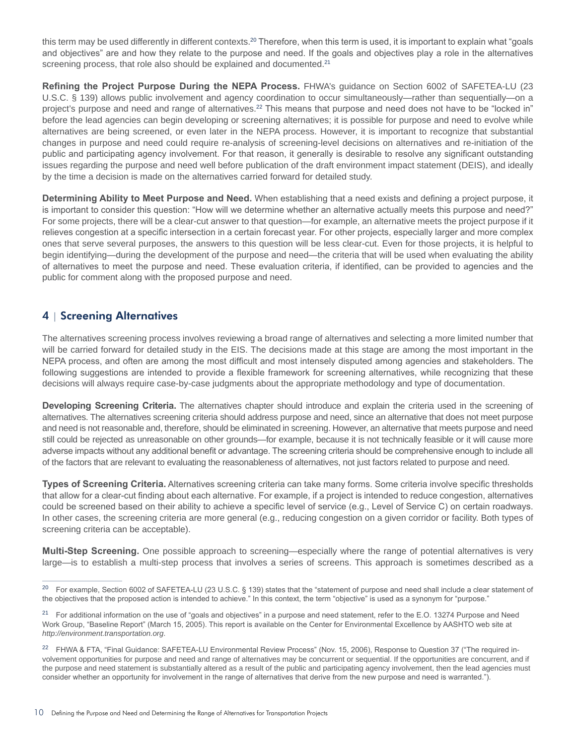this term may be used differently in different contexts.<sup>20</sup> Therefore, when this term is used, it is important to explain what "goals and objectives" are and how they relate to the purpose and need. If the goals and objectives play a role in the alternatives screening process, that role also should be explained and documented.<sup>21</sup>

**Refining the Project Purpose During the NEPA Process.** FHWA's guidance on Section 6002 of SAFETEA-LU (23 U.S.C. § 139) allows public involvement and agency coordination to occur simultaneously—rather than sequentially—on a project's purpose and need and range of alternatives.<sup>22</sup> This means that purpose and need does not have to be "locked in" before the lead agencies can begin developing or screening alternatives; it is possible for purpose and need to evolve while alternatives are being screened, or even later in the NEPA process. However, it is important to recognize that substantial changes in purpose and need could require re-analysis of screening-level decisions on alternatives and re-initiation of the public and participating agency involvement. For that reason, it generally is desirable to resolve any significant outstanding issues regarding the purpose and need well before publication of the draft environment impact statement (DEIS), and ideally by the time a decision is made on the alternatives carried forward for detailed study.

**Determining Ability to Meet Purpose and Need.** When establishing that a need exists and defining a project purpose, it is important to consider this question: "How will we determine whether an alternative actually meets this purpose and need?" For some projects, there will be a clear-cut answer to that question—for example, an alternative meets the project purpose if it relieves congestion at a specific intersection in a certain forecast year. For other projects, especially larger and more complex ones that serve several purposes, the answers to this question will be less clear-cut. Even for those projects, it is helpful to begin identifying—during the development of the purpose and need—the criteria that will be used when evaluating the ability of alternatives to meet the purpose and need. These evaluation criteria, if identified, can be provided to agencies and the public for comment along with the proposed purpose and need.

# 4 | Screening Alternatives

The alternatives screening process involves reviewing a broad range of alternatives and selecting a more limited number that will be carried forward for detailed study in the EIS. The decisions made at this stage are among the most important in the NEPA process, and often are among the most difficult and most intensely disputed among agencies and stakeholders. The following suggestions are intended to provide a flexible framework for screening alternatives, while recognizing that these decisions will always require case-by-case judgments about the appropriate methodology and type of documentation.

**Developing Screening Criteria.** The alternatives chapter should introduce and explain the criteria used in the screening of alternatives. The alternatives screening criteria should address purpose and need, since an alternative that does not meet purpose and need is not reasonable and, therefore, should be eliminated in screening. However, an alternative that meets purpose and need still could be rejected as unreasonable on other grounds—for example, because it is not technically feasible or it will cause more adverse impacts without any additional benefit or advantage. The screening criteria should be comprehensive enough to include all of the factors that are relevant to evaluating the reasonableness of alternatives, not just factors related to purpose and need.

**Types of Screening Criteria.** Alternatives screening criteria can take many forms. Some criteria involve specific thresholds that allow for a clear-cut finding about each alternative. For example, if a project is intended to reduce congestion, alternatives could be screened based on their ability to achieve a specific level of service (e.g., Level of Service C) on certain roadways. In other cases, the screening criteria are more general (e.g., reducing congestion on a given corridor or facility. Both types of screening criteria can be acceptable).

**Multi-Step Screening.** One possible approach to screening—especially where the range of potential alternatives is very large—is to establish a multi-step process that involves a series of screens. This approach is sometimes described as a

<sup>&</sup>lt;sup>20</sup> For example, Section 6002 of SAFETEA-LU (23 U.S.C. § 139) states that the "statement of purpose and need shall include a clear statement of the objectives that the proposed action is intended to achieve." In this context, the term "objective" is used as a synonym for "purpose."

<sup>&</sup>lt;sup>21</sup> For additional information on the use of "goals and objectives" in a purpose and need statement, refer to the E.O. 13274 Purpose and Need Work Group, "Baseline Report" (March 15, 2005). This report is available on the Center for Environmental Excellence by AASHTO web site at *http://environment.transportation.org*.

<sup>&</sup>lt;sup>22</sup> FHWA & FTA, "Final Guidance: SAFETEA-LU Environmental Review Process" (Nov. 15, 2006), Response to Question 37 ("The required involvement opportunities for purpose and need and range of alternatives may be concurrent or sequential. If the opportunities are concurrent, and if the purpose and need statement is substantially altered as a result of the public and participating agency involvement, then the lead agencies must consider whether an opportunity for involvement in the range of alternatives that derive from the new purpose and need is warranted.").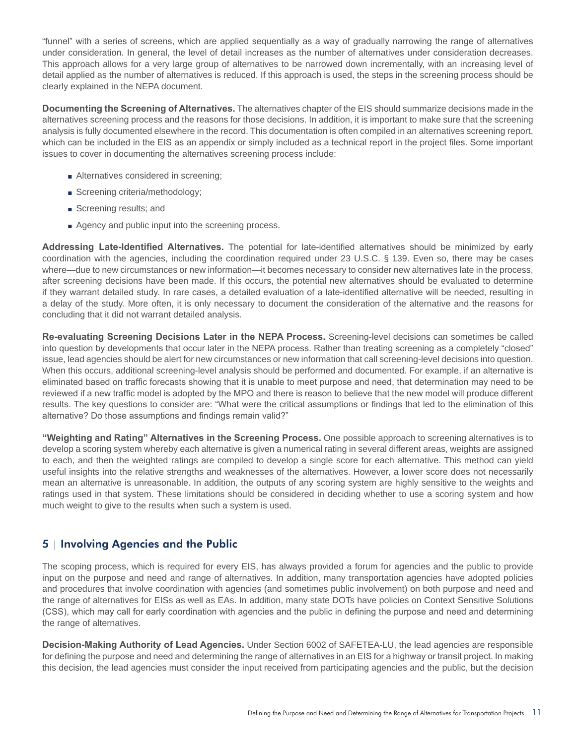"funnel" with a series of screens, which are applied sequentially as a way of gradually narrowing the range of alternatives under consideration. In general, the level of detail increases as the number of alternatives under consideration decreases. This approach allows for a very large group of alternatives to be narrowed down incrementally, with an increasing level of detail applied as the number of alternatives is reduced. If this approach is used, the steps in the screening process should be clearly explained in the NEPA document.

**Documenting the Screening of Alternatives.** The alternatives chapter of the EIS should summarize decisions made in the alternatives screening process and the reasons for those decisions. In addition, it is important to make sure that the screening analysis is fully documented elsewhere in the record. This documentation is often compiled in an alternatives screening report, which can be included in the EIS as an appendix or simply included as a technical report in the project files. Some important issues to cover in documenting the alternatives screening process include:

- Alternatives considered in screening;
- Screening criteria/methodology;
- Screening results; and
- Agency and public input into the screening process.

**Addressing Late-Identified Alternatives.** The potential for late-identified alternatives should be minimized by early coordination with the agencies, including the coordination required under 23 U.S.C. § 139. Even so, there may be cases where—due to new circumstances or new information—it becomes necessary to consider new alternatives late in the process, after screening decisions have been made. If this occurs, the potential new alternatives should be evaluated to determine if they warrant detailed study. In rare cases, a detailed evaluation of a late-identified alternative will be needed, resulting in a delay of the study. More often, it is only necessary to document the consideration of the alternative and the reasons for concluding that it did not warrant detailed analysis.

**Re-evaluating Screening Decisions Later in the NEPA Process.** Screening-level decisions can sometimes be called into question by developments that occur later in the NEPA process. Rather than treating screening as a completely "closed" issue, lead agencies should be alert for new circumstances or new information that call screening-level decisions into question. When this occurs, additional screening-level analysis should be performed and documented. For example, if an alternative is eliminated based on traffic forecasts showing that it is unable to meet purpose and need, that determination may need to be reviewed if a new traffic model is adopted by the MPO and there is reason to believe that the new model will produce different results. The key questions to consider are: "What were the critical assumptions or findings that led to the elimination of this alternative? Do those assumptions and findings remain valid?"

**"Weighting and Rating" Alternatives in the Screening Process.** One possible approach to screening alternatives is to develop a scoring system whereby each alternative is given a numerical rating in several different areas, weights are assigned to each, and then the weighted ratings are compiled to develop a single score for each alternative. This method can yield useful insights into the relative strengths and weaknesses of the alternatives. However, a lower score does not necessarily mean an alternative is unreasonable. In addition, the outputs of any scoring system are highly sensitive to the weights and ratings used in that system. These limitations should be considered in deciding whether to use a scoring system and how much weight to give to the results when such a system is used.

# 5 | Involving Agencies and the Public

The scoping process, which is required for every EIS, has always provided a forum for agencies and the public to provide input on the purpose and need and range of alternatives. In addition, many transportation agencies have adopted policies and procedures that involve coordination with agencies (and sometimes public involvement) on both purpose and need and the range of alternatives for EISs as well as EAs. In addition, many state DOTs have policies on Context Sensitive Solutions (CSS), which may call for early coordination with agencies and the public in defining the purpose and need and determining the range of alternatives.

**Decision-Making Authority of Lead Agencies.** Under Section 6002 of SAFETEA-LU, the lead agencies are responsible for defining the purpose and need and determining the range of alternatives in an EIS for a highway or transit project. In making this decision, the lead agencies must consider the input received from participating agencies and the public, but the decision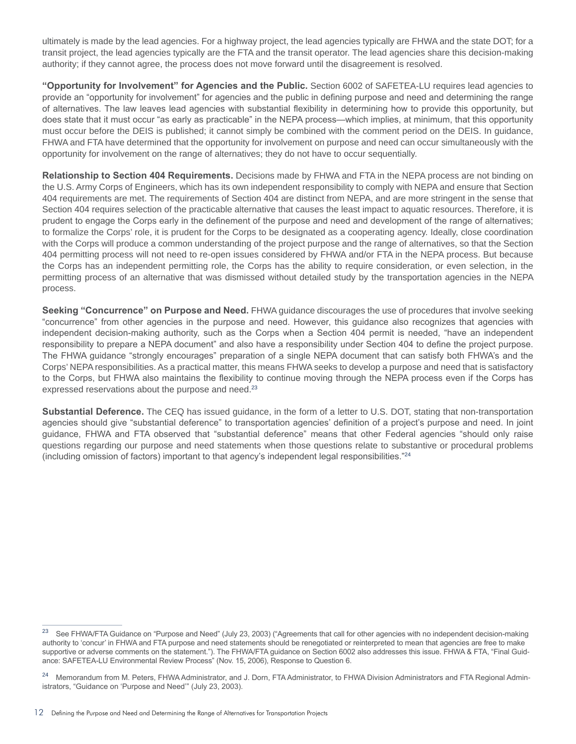ultimately is made by the lead agencies. For a highway project, the lead agencies typically are FHWA and the state DOT; for a transit project, the lead agencies typically are the FTA and the transit operator. The lead agencies share this decision-making authority; if they cannot agree, the process does not move forward until the disagreement is resolved.

**"Opportunity for Involvement" for Agencies and the Public.** Section 6002 of SAFETEA-LU requires lead agencies to provide an "opportunity for involvement" for agencies and the public in defining purpose and need and determining the range of alternatives. The law leaves lead agencies with substantial flexibility in determining how to provide this opportunity, but does state that it must occur "as early as practicable" in the NEPA process—which implies, at minimum, that this opportunity must occur before the DEIS is published; it cannot simply be combined with the comment period on the DEIS. In guidance, FHWA and FTA have determined that the opportunity for involvement on purpose and need can occur simultaneously with the opportunity for involvement on the range of alternatives; they do not have to occur sequentially.

**Relationship to Section 404 Requirements.** Decisions made by FHWA and FTA in the NEPA process are not binding on the U.S. Army Corps of Engineers, which has its own independent responsibility to comply with NEPA and ensure that Section 404 requirements are met. The requirements of Section 404 are distinct from NEPA, and are more stringent in the sense that Section 404 requires selection of the practicable alternative that causes the least impact to aquatic resources. Therefore, it is prudent to engage the Corps early in the definement of the purpose and need and development of the range of alternatives; to formalize the Corps' role, it is prudent for the Corps to be designated as a cooperating agency. Ideally, close coordination with the Corps will produce a common understanding of the project purpose and the range of alternatives, so that the Section 404 permitting process will not need to re-open issues considered by FHWA and/or FTA in the NEPA process. But because the Corps has an independent permitting role, the Corps has the ability to require consideration, or even selection, in the permitting process of an alternative that was dismissed without detailed study by the transportation agencies in the NEPA process.

**Seeking "Concurrence" on Purpose and Need.** FHWA guidance discourages the use of procedures that involve seeking "concurrence" from other agencies in the purpose and need. However, this guidance also recognizes that agencies with independent decision-making authority, such as the Corps when a Section 404 permit is needed, "have an independent responsibility to prepare a NEPA document" and also have a responsibility under Section 404 to define the project purpose. The FHWA guidance "strongly encourages" preparation of a single NEPA document that can satisfy both FHWA's and the Corps' NEPA responsibilities. As a practical matter, this means FHWA seeks to develop a purpose and need that is satisfactory to the Corps, but FHWA also maintains the flexibility to continue moving through the NEPA process even if the Corps has expressed reservations about the purpose and need.<sup>23</sup>

**Substantial Deference.** The CEQ has issued guidance, in the form of a letter to U.S. DOT, stating that non-transportation agencies should give "substantial deference" to transportation agencies' definition of a project's purpose and need. In joint guidance, FHWA and FTA observed that "substantial deference" means that other Federal agencies "should only raise questions regarding our purpose and need statements when those questions relate to substantive or procedural problems (including omission of factors) important to that agency's independent legal responsibilities."<sup>24</sup>

<sup>&</sup>lt;sup>23</sup> See FHWA/FTA Guidance on "Purpose and Need" (July 23, 2003) ("Agreements that call for other agencies with no independent decision-making authority to 'concur' in FHWA and FTA purpose and need statements should be renegotiated or reinterpreted to mean that agencies are free to make supportive or adverse comments on the statement."). The FHWA/FTA guidance on Section 6002 also addresses this issue. FHWA & FTA, "Final Guidance: SAFETEA-LU Environmental Review Process" (Nov. 15, 2006), Response to Question 6.

<sup>&</sup>lt;sup>24</sup> Memorandum from M. Peters, FHWA Administrator, and J. Dorn, FTA Administrator, to FHWA Division Administrators and FTA Regional Administrators, "Guidance on 'Purpose and Need'" (July 23, 2003).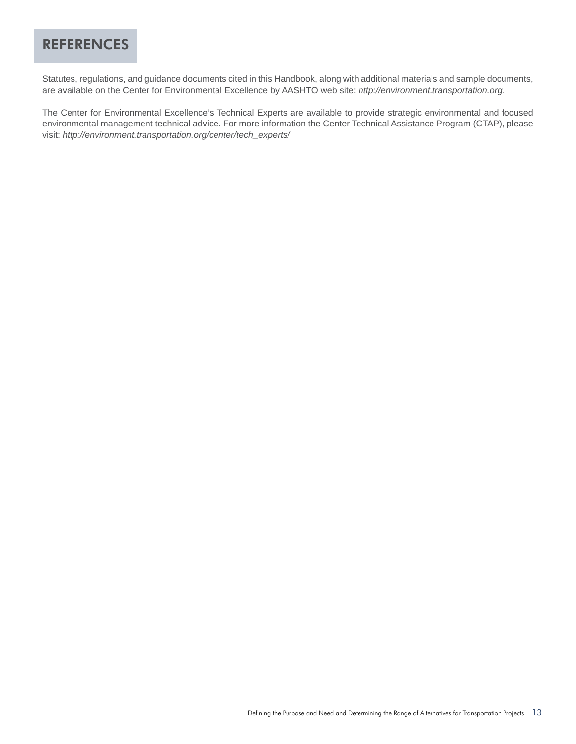# **REFERENCES**

Statutes, regulations, and guidance documents cited in this Handbook, along with additional materials and sample documents, are available on the Center for Environmental Excellence by AASHTO web site: *http://environment.transportation.org*.

The Center for Environmental Excellence's Technical Experts are available to provide strategic environmental and focused environmental management technical advice. For more information the Center Technical Assistance Program (CTAP), please visit: *http://environment.transportation.org/center/tech\_experts/*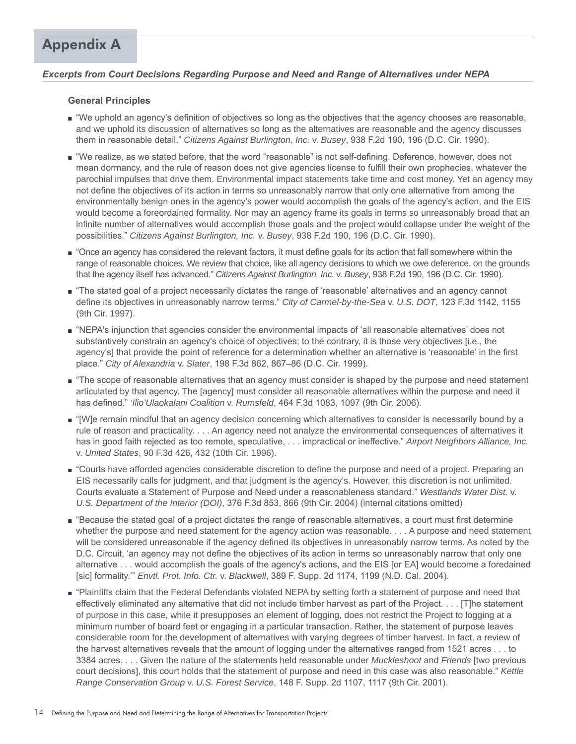# *Excerpts from Court Decisions Regarding Purpose and Need and Range of Alternatives under NEPA*

## **General Principles**

- "We uphold an agency's definition of objectives so long as the objectives that the agency chooses are reasonable, and we uphold its discussion of alternatives so long as the alternatives are reasonable and the agency discusses them in reasonable detail." *Citizens Against Burlington, Inc.* v. *Busey*, 938 F.2d 190, 196 (D.C. Cir. 1990).
- "We realize, as we stated before, that the word "reasonable" is not self-defining. Deference, however, does not mean dormancy, and the rule of reason does not give agencies license to fulfill their own prophecies, whatever the parochial impulses that drive them. Environmental impact statements take time and cost money. Yet an agency may not define the objectives of its action in terms so unreasonably narrow that only one alternative from among the environmentally benign ones in the agency's power would accomplish the goals of the agency's action, and the EIS would become a foreordained formality. Nor may an agency frame its goals in terms so unreasonably broad that an infinite number of alternatives would accomplish those goals and the project would collapse under the weight of the possibilities." *Citizens Against Burlington, Inc.* v. *Busey*, 938 F.2d 190, 196 (D.C. Cir. 1990).
- "Once an agency has considered the relevant factors, it must define goals for its action that fall somewhere within the range of reasonable choices. We review that choice, like all agency decisions to which we owe deference, on the grounds that the agency itself has advanced." *Citizens Against Burlington, Inc.* v. *Busey*, 938 F.2d 190, 196 (D.C. Cir. 1990).
- "The stated goal of a project necessarily dictates the range of 'reasonable' alternatives and an agency cannot define its objectives in unreasonably narrow terms." *City of Carmel-by-the-Sea* v. *U.S. DOT*, 123 F.3d 1142, 1155 (9th Cir. 1997).
- "NEPA's injunction that agencies consider the environmental impacts of 'all reasonable alternatives' does not substantively constrain an agency's choice of objectives; to the contrary, it is those very objectives [i.e., the agency's] that provide the point of reference for a determination whether an alternative is 'reasonable' in the first place." *City of Alexandria* v. *Slater*, 198 F.3d 862, 867–86 (D.C. Cir. 1999).
- "The scope of reasonable alternatives that an agency must consider is shaped by the purpose and need statement articulated by that agency. The [agency] must consider all reasonable alternatives within the purpose and need it has defined." *'Ilio'Ulaokalani Coalition* v. *Rumsfeld*, 464 F.3d 1083, 1097 (9th Cir. 2006).
- "[W]e remain mindful that an agency decision concerning which alternatives to consider is necessarily bound by a rule of reason and practicality. . . . An agency need not analyze the environmental consequences of alternatives it has in good faith rejected as too remote, speculative, . . . impractical or ineffective." *Airport Neighbors Alliance, Inc.* v. *United States*, 90 F.3d 426, 432 (10th Cir. 1996).
- "Courts have afforded agencies considerable discretion to define the purpose and need of a project. Preparing an EIS necessarily calls for judgment, and that judgment is the agency's. However, this discretion is not unlimited. Courts evaluate a Statement of Purpose and Need under a reasonableness standard." *Westlands Water Dist.* v. *U.S. Department of the Interior (DOI)*, 376 F.3d 853, 866 (9th Cir. 2004) (internal citations omitted)
- "Because the stated goal of a project dictates the range of reasonable alternatives, a court must first determine whether the purpose and need statement for the agency action was reasonable. . . . A purpose and need statement will be considered unreasonable if the agency defined its objectives in unreasonably narrow terms. As noted by the D.C. Circuit, 'an agency may not define the objectives of its action in terms so unreasonably narrow that only one alternative . . . would accomplish the goals of the agency's actions, and the EIS [or EA] would become a foredained [sic] formality.'" *Envtl. Prot. Info. Ctr.* v. *Blackwell*, 389 F. Supp. 2d 1174, 1199 (N.D. Cal. 2004).
- "Plaintiffs claim that the Federal Defendants violated NEPA by setting forth a statement of purpose and need that effectively eliminated any alternative that did not include timber harvest as part of the Project. . . . [T]he statement of purpose in this case, while it presupposes an element of logging, does not restrict the Project to logging at a minimum number of board feet or engaging in a particular transaction. Rather, the statement of purpose leaves considerable room for the development of alternatives with varying degrees of timber harvest. In fact, a review of the harvest alternatives reveals that the amount of logging under the alternatives ranged from 1521 acres . . . to 3384 acres. . . . Given the nature of the statements held reasonable under *Muckleshoot* and *Friends* [two previous court decisions], this court holds that the statement of purpose and need in this case was also reasonable." *Kettle Range Conservation Group* v. *U.S. Forest Service*, 148 F. Supp. 2d 1107, 1117 (9th Cir. 2001).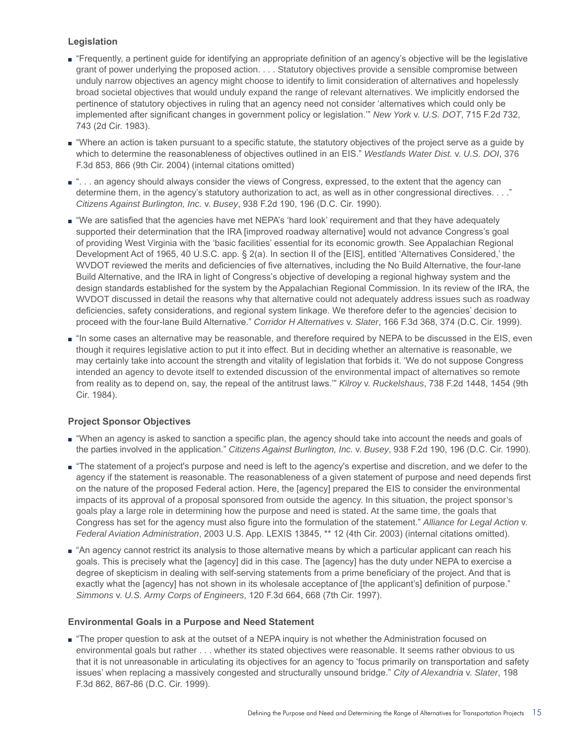# **Legislation**

- "Frequently, a pertinent guide for identifying an appropriate definition of an agency's objective will be the legislative grant of power underlying the proposed action. . . . Statutory objectives provide a sensible compromise between unduly narrow objectives an agency might choose to identify to limit consideration of alternatives and hopelessly broad societal objectives that would unduly expand the range of relevant alternatives. We implicitly endorsed the pertinence of statutory objectives in ruling that an agency need not consider 'alternatives which could only be implemented after significant changes in government policy or legislation.'" *New York* v. *U.S. DOT*, 715 F.2d 732, 743 (2d Cir. 1983).
- "Where an action is taken pursuant to a specific statute, the statutory objectives of the project serve as a guide by which to determine the reasonableness of objectives outlined in an EIS." *Westlands Water Dist.* v. *U.S. DOI*, 376 F.3d 853, 866 (9th Cir. 2004) (internal citations omitted)
- ". . . an agency should always consider the views of Congress, expressed, to the extent that the agency can determine them, in the agency's statutory authorization to act, as well as in other congressional directives. . . ." *Citizens Against Burlington, Inc.* v. *Busey*, 938 F.2d 190, 196 (D.C. Cir. 1990).
- "We are satisfied that the agencies have met NEPA's 'hard look' requirement and that they have adequately supported their determination that the IRA [improved roadway alternative] would not advance Congress's goal of providing West Virginia with the 'basic facilities' essential for its economic growth. See Appalachian Regional Development Act of 1965, 40 U.S.C. app. § 2(a). In section II of the [EIS], entitled 'Alternatives Considered,' the WVDOT reviewed the merits and deficiencies of five alternatives, including the No Build Alternative, the four-lane Build Alternative, and the IRA in light of Congress's objective of developing a regional highway system and the design standards established for the system by the Appalachian Regional Commission. In its review of the IRA, the WVDOT discussed in detail the reasons why that alternative could not adequately address issues such as roadway deficiencies, safety considerations, and regional system linkage. We therefore defer to the agencies' decision to proceed with the four-lane Build Alternative." *Corridor H Alternatives* v. *Slater*, 166 F.3d 368, 374 (D.C. Cir. 1999).
- "In some cases an alternative may be reasonable, and therefore required by NEPA to be discussed in the EIS, even though it requires legislative action to put it into effect. But in deciding whether an alternative is reasonable, we may certainly take into account the strength and vitality of legislation that forbids it. 'We do not suppose Congress intended an agency to devote itself to extended discussion of the environmental impact of alternatives so remote from reality as to depend on, say, the repeal of the antitrust laws.'" *Kilroy* v. *Ruckelshaus*, 738 F.2d 1448, 1454 (9th Cir. 1984).

# **Project Sponsor Objectives**

- "When an agency is asked to sanction a specific plan, the agency should take into account the needs and goals of the parties involved in the application." *Citizens Against Burlington, Inc.* v. *Busey*, 938 F.2d 190, 196 (D.C. Cir. 1990).
- "The statement of a project's purpose and need is left to the agency's expertise and discretion, and we defer to the agency if the statement is reasonable. The reasonableness of a given statement of purpose and need depends first on the nature of the proposed Federal action. Here, the [agency] prepared the EIS to consider the environmental impacts of its approval of a proposal sponsored from outside the agency. In this situation, the project sponsor's goals play a large role in determining how the purpose and need is stated. At the same time, the goals that Congress has set for the agency must also figure into the formulation of the statement." *Alliance for Legal Action* v. *Federal Aviation Administration*, 2003 U.S. App. LEXIS 13845, \*\* 12 (4th Cir. 2003) (internal citations omitted).
- "An agency cannot restrict its analysis to those alternative means by which a particular applicant can reach his goals. This is precisely what the [agency] did in this case. The [agency] has the duty under NEPA to exercise a degree of skepticism in dealing with self-serving statements from a prime beneficiary of the project. And that is exactly what the [agency] has not shown in its wholesale acceptance of [the applicant's] definition of purpose." *Simmons* v. *U.S. Army Corps of Engineers*, 120 F.3d 664, 668 (7th Cir. 1997).

# **Environmental Goals in a Purpose and Need Statement**

■ "The proper question to ask at the outset of a NEPA inquiry is not whether the Administration focused on environmental goals but rather . . . whether its stated objectives were reasonable. It seems rather obvious to us that it is not unreasonable in articulating its objectives for an agency to 'focus primarily on transportation and safety issues' when replacing a massively congested and structurally unsound bridge." *City of Alexandria* v. *Slater*, 198 F.3d 862, 867-86 (D.C. Cir. 1999).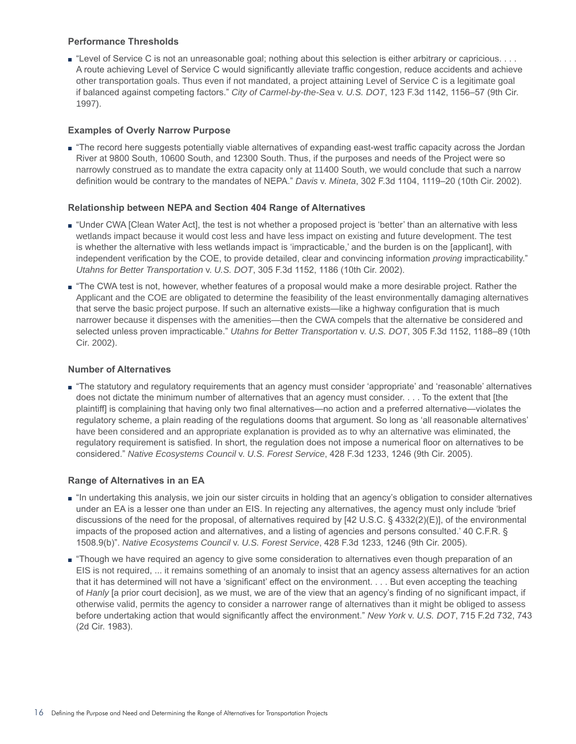## **Performance Thresholds**

■ "Level of Service C is not an unreasonable goal; nothing about this selection is either arbitrary or capricious. . . . A route achieving Level of Service C would significantly alleviate traffic congestion, reduce accidents and achieve other transportation goals. Thus even if not mandated, a project attaining Level of Service C is a legitimate goal if balanced against competing factors." *City of Carmel-by-the-Sea* v. *U.S. DOT*, 123 F.3d 1142, 1156–57 (9th Cir. 1997).

## **Examples of Overly Narrow Purpose**

■ "The record here suggests potentially viable alternatives of expanding east-west traffic capacity across the Jordan River at 9800 South, 10600 South, and 12300 South. Thus, if the purposes and needs of the Project were so narrowly construed as to mandate the extra capacity only at 11400 South, we would conclude that such a narrow definition would be contrary to the mandates of NEPA." *Davis* v. *Mineta*, 302 F.3d 1104, 1119–20 (10th Cir. 2002).

## **Relationship between NEPA and Section 404 Range of Alternatives**

- "Under CWA [Clean Water Act], the test is not whether a proposed project is 'better' than an alternative with less wetlands impact because it would cost less and have less impact on existing and future development. The test is whether the alternative with less wetlands impact is 'impracticable,' and the burden is on the [applicant], with independent verification by the COE, to provide detailed, clear and convincing information *proving* impracticability." *Utahns for Better Transportation* v. *U.S. DOT*, 305 F.3d 1152, 1186 (10th Cir. 2002).
- "The CWA test is not, however, whether features of a proposal would make a more desirable project. Rather the Applicant and the COE are obligated to determine the feasibility of the least environmentally damaging alternatives that serve the basic project purpose. If such an alternative exists—like a highway configuration that is much narrower because it dispenses with the amenities—then the CWA compels that the alternative be considered and selected unless proven impracticable." *Utahns for Better Transportation* v. *U.S. DOT*, 305 F.3d 1152, 1188–89 (10th Cir. 2002).

## **Number of Alternatives**

■ "The statutory and regulatory requirements that an agency must consider 'appropriate' and 'reasonable' alternatives does not dictate the minimum number of alternatives that an agency must consider. . . . To the extent that [the plaintiff] is complaining that having only two final alternatives—no action and a preferred alternative—violates the regulatory scheme, a plain reading of the regulations dooms that argument. So long as 'all reasonable alternatives' have been considered and an appropriate explanation is provided as to why an alternative was eliminated, the regulatory requirement is satisfied. In short, the regulation does not impose a numerical floor on alternatives to be considered." *Native Ecosystems Council* v. *U.S. Forest Service*, 428 F.3d 1233, 1246 (9th Cir. 2005).

#### **Range of Alternatives in an EA**

- "In undertaking this analysis, we join our sister circuits in holding that an agency's obligation to consider alternatives under an EA is a lesser one than under an EIS. In rejecting any alternatives, the agency must only include 'brief discussions of the need for the proposal, of alternatives required by [42 U.S.C. § 4332(2)(E)], of the environmental impacts of the proposed action and alternatives, and a listing of agencies and persons consulted.' 40 C.F.R. § 1508.9(b)". *Native Ecosystems Council* v. *U.S. Forest Service*, 428 F.3d 1233, 1246 (9th Cir. 2005).
- "Though we have required an agency to give some consideration to alternatives even though preparation of an EIS is not required, ... it remains something of an anomaly to insist that an agency assess alternatives for an action that it has determined will not have a 'significant' effect on the environment. . . . But even accepting the teaching of *Hanly* [a prior court decision], as we must, we are of the view that an agency's finding of no significant impact, if otherwise valid, permits the agency to consider a narrower range of alternatives than it might be obliged to assess before undertaking action that would significantly affect the environment." *New York* v. *U.S. DOT*, 715 F.2d 732, 743 (2d Cir. 1983).